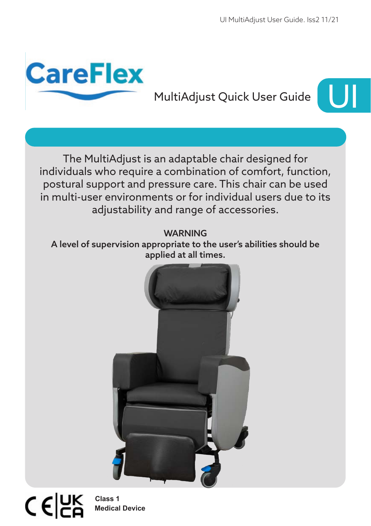

# MultiAdjust Quick User Guide



The MultiAdjust is an adaptable chair designed for individuals who require a combination of comfort, function, postural support and pressure care. This chair can be used in multi-user environments or for individual users due to its adjustability and range of accessories.

**WARNING** 

A level of supervision appropriate to the user's abilities should be applied at all times.



 $C \in \n \begin{bmatrix} 2K \\ 2K \end{bmatrix}$ 

**Medical Device Class 1**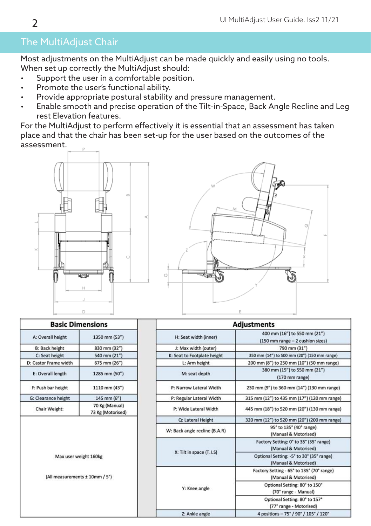# The MultiAdjust Chair

Most adjustments on the MultiAdjust can be made quickly and easily using no tools. When set up correctly the MultiAdjust should:

- Support the user in a comfortable position.
- Promote the user's functional ability.
- Provide appropriate postural stability and pressure management.
- Enable smooth and precise operation of the Tilt-in-Space, Back Angle Recline and Leg rest Elevation features.

For the MultiAdjust to perform effectively it is essential that an assessment has taken place and that the chair has been set-up for the user based on the outcomes of the assessment.





| A: Overall height     | 1350 mm (53")     |
|-----------------------|-------------------|
|                       |                   |
| <b>B: Back height</b> | 830 mm (32")      |
| C: Seat height        | 540 mm (21")      |
| D: Castor Frame width | 675 mm (26")      |
| E: Overall length     | 1285 mm (50")     |
| F: Push bar height    | 1110 mm (43")     |
| G: Clearance height   | 145 mm (6")       |
| Chair Weight:         | 70 Kg (Manual)    |
|                       | 73 Kg (Motorised) |
|                       |                   |
| Max user weight 160kg |                   |

| <b>Adjustments</b>            |                                                                   |
|-------------------------------|-------------------------------------------------------------------|
| H: Seat width (inner)         | 400 mm (16") to 550 mm (21")<br>(150 mm range - 2 cushion sizes)  |
| J: Max width (outer)          | 790 mm (31")                                                      |
| K: Seat to Footplate height   | 350 mm (14") to 500 mm (20") (150 mm range)                       |
| L: Arm height                 | 200 mm (8") to 250 mm (10") (50 mm range)                         |
| M: seat depth                 | 380 mm (15") to 550 mm (21")<br>$(170 \text{ mm range})$          |
| P: Narrow Lateral Width       | 230 mm (9") to 360 mm (14") (130 mm range)                        |
| P: Regular Lateral Width      | 315 mm (12") to 435 mm (17") (120 mm range)                       |
| P: Wide Lateral Width         | 445 mm (18") to 520 mm (20") (130 mm range)                       |
| Q: Lateral Height             | 320 mm (12") to 520 mm (20") (200 mm range)                       |
| W: Back angle recline (B.A.R) | 95° to 135° (40° range)<br>(Manual & Motorised)                   |
| X: Tilt in space (T.I.S)      | Factory Setting: 0° to 35° (35° range)<br>(Manual & Motorised)    |
|                               | Optional Setting: -5° to 30° (35° range)<br>(Manual & Motorised)  |
| Y: Knee angle                 | Factory Setting - 65° to 135° (70° range)<br>(Manual & Motorised) |
|                               | Optional Setting: 80° to 150°<br>(70° range - Manual)             |
|                               | Optional Setting: 80° to 157°<br>(77° range - Motorised)          |
| 7: Ankle angle                | 4 nositions - 75° / 90° / 105° / 120°                             |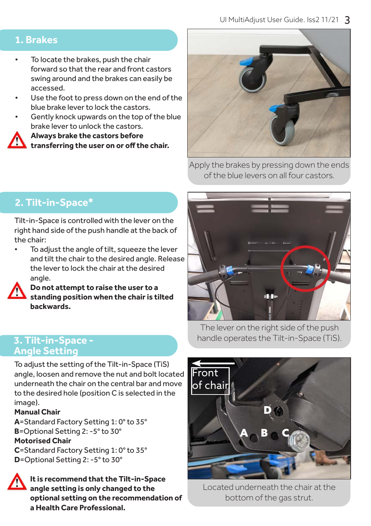#### **1. Brakes**

- To locate the brakes, push the chair forward so that the rear and front castors swing around and the brakes can easily be accessed.
- Use the foot to press down on the end of the blue brake lever to lock the castors.
- Gently knock upwards on the top of the blue brake lever to unlock the castors.

**• Always brake the castors before** 

**transferring the user on or off the chair.**



Apply the brakes by pressing down the ends of the blue levers on all four castors.

# **2. Tilt-in-Space\***

Tilt-in-Space is controlled with the lever on the right hand side of the push handle at the back of the chair:

To adjust the angle of tilt, squeeze the lever and tilt the chair to the desired angle. Release the lever to lock the chair at the desired angle.



**• Do not attempt to raise the user to a standing position when the chair is tilted backwards.**

#### **3. Tilt-in-Space - Angle Setting**

To adjust the setting of the Tilt-in-Space (TiS) angle, loosen and remove the nut and bolt located underneath the chair on the central bar and move to the desired hole (position C is selected in the image).

#### **Manual Chair**

**A**=Standard Factory Setting 1: 0° to 35° **B**=Optional Setting 2: -5° to 30° **Motorised Chair C**=Standard Factory Setting 1: 0° to 35°

**D**=Optional Setting 2: -5° to 30°



**• It is recommend that the Tilt-in-Space angle setting is only changed to the optional setting on the recommendation of a Health Care Professional.**

The lever on the right side of the push handle operates the Tilt-in-Space (TiS).



Located underneath the chair at the bottom of the gas strut.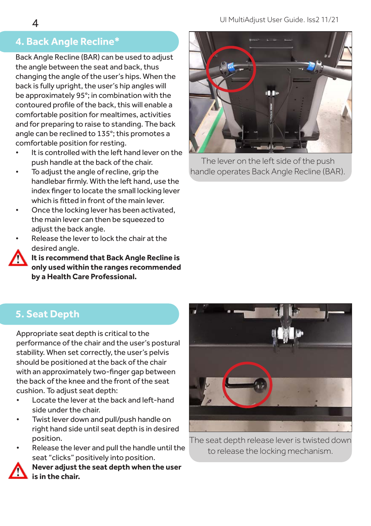# **4. Back Angle Recline\***

Back Angle Recline (BAR) can be used to adjust the angle between the seat and back, thus changing the angle of the user's hips. When the back is fully upright, the user's hip angles will be approximately 95°; in combination with the contoured profile of the back, this will enable a comfortable position for mealtimes, activities and for preparing to raise to standing. The back angle can be reclined to 135°; this promotes a comfortable position for resting.

- It is controlled with the left hand lever on the push handle at the back of the chair.
- To adjust the angle of recline, grip the handlebar firmly. With the left hand, use the index finger to locate the small locking lever which is fitted in front of the main lever.
- Once the locking lever has been activated, the main lever can then be squeezed to adiust the back angle.
- Release the lever to lock the chair at the desired angle.
	- **• It is recommend that Back Angle Recline is only used within the ranges recommended by a Health Care Professional.**



The lever on the left side of the push handle operates Back Angle Recline (BAR).

# **5. Seat Depth**

Appropriate seat depth is critical to the performance of the chair and the user's postural stability. When set correctly, the user's pelvis should be positioned at the back of the chair with an approximately two-finger gap between the back of the knee and the front of the seat cushion. To adjust seat depth:

- Locate the lever at the back and left-hand side under the chair.
- Twist lever down and pull/push handle on right hand side until seat depth is in desired position.
- Release the lever and pull the handle until the seat "clicks" positively into position.

**• Never adjust the seat depth when the user is in the chair.**



The seat depth release lever is twisted down to release the locking mechanism.

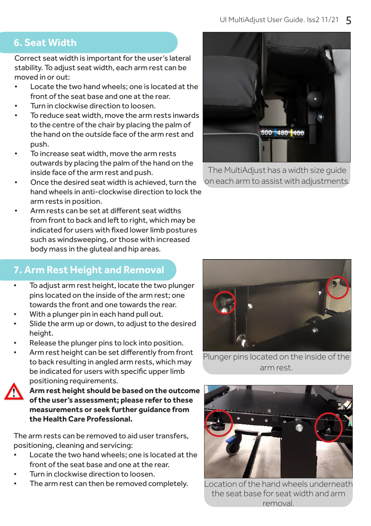## **6. Seat Width**

Correct seat width is important for the user's lateral stability. To adjust seat width, each arm rest can be moved in or out:

- Locate the two hand wheels; one is located at the front of the seat base and one at the rear.
- Turn in clockwise direction to loosen.
- To reduce seat width, move the arm rests inwards to the centre of the chair by placing the palm of the hand on the outside face of the arm rest and push.
- To increase seat width, move the arm rests outwards by placing the palm of the hand on the inside face of the arm rest and push.
- Once the desired seat width is achieved, turn the hand wheels in anti-clockwise direction to lock the arm rests in position.
- Arm rests can be set at different seat widths from front to back and left to right, which may be indicated for users with fixed lower limb postures such as windsweeping, or those with increased body mass in the gluteal and hip areas.

# **7. Arm Rest Height and Removal**

- To adjust arm rest height, locate the two plunger pins located on the inside of the arm rest; one towards the front and one towards the rear.
- With a plunger pin in each hand pull out.
- Slide the arm up or down, to adjust to the desired height.
- Release the plunger pins to lock into position.
- Arm rest height can be set differently from front to back resulting in angled arm rests, which may be indicated for users with specific upper limb positioning requirements.



**• Arm rest height should be based on the outcome of the user's assessment; please refer to these measurements or seek further guidance from the Health Care Professional.**

The arm rests can be removed to aid user transfers, positioning, cleaning and servicing:

- Locate the two hand wheels; one is located at the front of the seat base and one at the rear.
- Turn in clockwise direction to loosen.
- The arm rest can then be removed completely.



The MultiAdjust has a width size guide on each arm to assist with adjustments.



Plunger pins located on the inside of the arm rest.



Location of the hand wheels underneath the seat base for seat width and arm removal.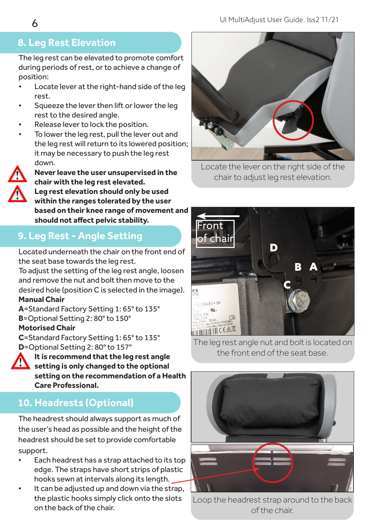#### UI MultiAdjust User Guide. Iss2 11/21

# **8. Leg Rest Elevation**

The leg rest can be elevated to promote comfort during periods of rest, or to achieve a change of position:

- Locate lever at the right-hand side of the leg rest.
- Squeeze the lever then lift or lower the leg rest to the desired angle.
- Release lever to lock the position.
- To lower the leg rest, pull the lever out and the leg rest will return to its lowered position; it may be necessary to push the leg rest down.



**• Never leave the user unsupervised in the chair with the leg rest elevated. • Leg rest elevation should only be used within the ranges tolerated by the user** 

**based on their knee range of movement and should not affect pelvic stability.**

# **9. Leg Rest - Angle Setting**

Located underneath the chair on the front end of the seat base towards the leg rest.

To adjust the setting of the leg rest angle, loosen and remove the nut and bolt then move to the desired hole (position C is selected in the image). **Manual Chair**

**A**=Standard Factory Setting 1: 65° to 135° **B**=Optional Setting 2: 80° to 150°

#### **Motorised Chair**

**C**=Standard Factory Setting 1: 65° to 135° **D**=Optional Setting 2: 80° to 157°



**• It is recommend that the leg rest angle setting is only changed to the optional setting on the recommendation of a Health Care Professional.** 

# **10. Headrests (Optional)**

The headrest should always support as much of the user's head as possible and the height of the headrest should be set to provide comfortable support.

- Each headrest has a strap attached to its top edge. The straps have short strips of plastic hooks sewn at intervals along its length.
- It can be adjusted up and down via the strap, the plastic hooks simply click onto the slots on the back of the chair.



Locate the lever on the right side of the chair to adjust leg rest elevation.



The leg rest angle nut and bolt is located on the front end of the seat base.



Loop the headrest strap around to the back of the chair.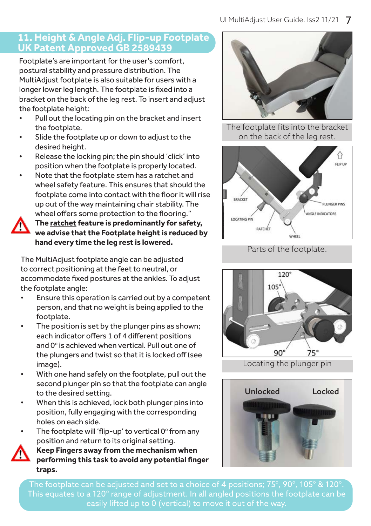#### **11. Height & Angle Adj. Flip-up Footplate UK Patent Approved GB 2589439**

Footplate's are important for the user's comfort, postural stability and pressure distribution. The MultiAdjust footplate is also suitable for users with a longer lower leg length. The footplate is fixed into a bracket on the back of the leg rest. To insert and adjust the footplate height:

- Pull out the locating pin on the bracket and insert the footplate.
- Slide the footplate up or down to adjust to the desired height.
- Release the locking pin; the pin should 'click' into position when the footplate is properly located.
- Note that the footplate stem has a ratchet and wheel safety feature. This ensures that should the footplate come into contact with the floor it will rise up out of the way maintaining chair stability. The wheel offers some protection to the flooring."



**• The ratchet feature is predominantly for safety, we advise that the Footplate height is reduced by hand every time the leg rest is lowered.** Parts of the footplate.

The MultiAdjust footplate angle can be adjusted to correct positioning at the feet to neutral, or accommodate fixed postures at the ankles. To adjust the footplate angle:

- Ensure this operation is carried out by a competent person, and that no weight is being applied to the footplate.
- The position is set by the plunger pins as shown; each indicator offers 1 of 4 different positions and 0° is achieved when vertical. Pull out one of the plungers and twist so that it is locked off (see image).
- With one hand safely on the footplate, pull out the second plunger pin so that the footplate can angle to the desired setting.
- When this is achieved, lock both plunger pins into position, fully engaging with the corresponding holes on each side.
- The footplate will 'flip-up' to vertical  $0^\circ$  from any position and return to its original setting.



**• Keep Fingers away from the mechanism when performing this task to avoid any potential finger traps.**



The footplate fits into the bracket on the back of the leg rest.









The footplate can be adjusted and set to a choice of 4 positions; 75°, 90°, 105° & 120°.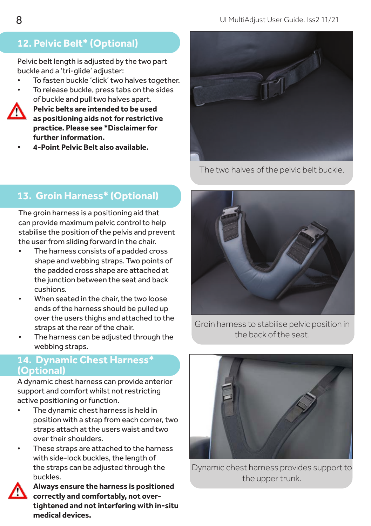# **12. Pelvic Belt\* (Optional)**

Pelvic belt length is adjusted by the two part buckle and a 'tri-glide' adjuster:

- To fasten buckle 'click' two halves together.
- To release buckle, press tabs on the sides of buckle and pull two halves apart.



- **• Pelvic belts are intended to be used as positioning aids not for restrictive practice. Please see \*Disclaimer for further information.**
- **• 4-Point Pelvic Belt also available.**



The two halves of the pelvic belt buckle.

# **13. Groin Harness\* (Optional)**

The groin harness is a positioning aid that can provide maximum pelvic control to help stabilise the position of the pelvis and prevent the user from sliding forward in the chair.

- The harness consists of a padded cross shape and webbing straps. Two points of the padded cross shape are attached at the junction between the seat and back cushions.
- When seated in the chair, the two loose ends of the harness should be pulled up over the users thighs and attached to the straps at the rear of the chair.
- The harness can be adjusted through the webbing straps.

#### **14. Dynamic Chest Harness\* (Optional)**

A dynamic chest harness can provide anterior support and comfort whilst not restricting active positioning or function.

- The dynamic chest harness is held in position with a strap from each corner, two straps attach at the users waist and two over their shoulders.
- These straps are attached to the harness with side-lock buckles, the length of the straps can be adjusted through the buckles.



**• Always ensure the harness is positioned correctly and comfortably, not overtightened and not interfering with in-situ medical devices.**



Groin harness to stabilise pelvic position in the back of the seat.



Dynamic chest harness provides support to the upper trunk.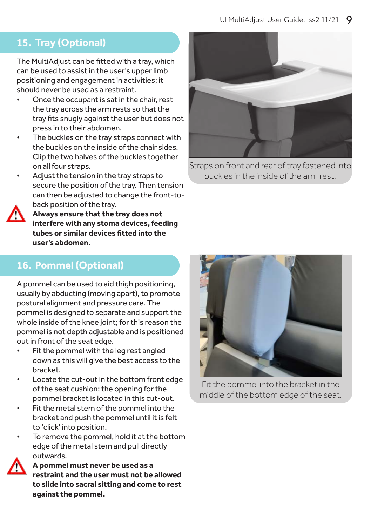## **15. Tray (Optional)**

The MultiAdjust can be fitted with a tray, which can be used to assist in the user's upper limb positioning and engagement in activities; it should never be used as a restraint.

- Once the occupant is sat in the chair, rest the tray across the arm rests so that the tray fits snugly against the user but does not press in to their abdomen.
- The buckles on the tray straps connect with the buckles on the inside of the chair sides. Clip the two halves of the buckles together on all four straps.
- Adjust the tension in the tray straps to secure the position of the tray. Then tension can then be adjusted to change the front-toback position of the tray.



**• Always ensure that the tray does not interfere with any stoma devices, feeding tubes or similar devices fitted into the user's abdomen.**



Straps on front and rear of tray fastened into buckles in the inside of the arm rest.

## **16. Pommel (Optional)**

A pommel can be used to aid thigh positioning, usually by abducting (moving apart), to promote postural alignment and pressure care. The pommel is designed to separate and support the whole inside of the knee joint; for this reason the pommel is not depth adjustable and is positioned out in front of the seat edge.

- Fit the pommel with the leg rest angled down as this will give the best access to the bracket.
- Locate the cut-out in the bottom front edge of the seat cushion; the opening for the pommel bracket is located in this cut-out.
- Fit the metal stem of the pommel into the bracket and push the pommel until it is felt to 'click' into position.
- To remove the pommel, hold it at the bottom edge of the metal stem and pull directly outwards.

**• A pommel must never be used as a restraint and the user must not be allowed to slide into sacral sitting and come to rest against the pommel.** 



Fit the pommel into the bracket in the middle of the bottom edge of the seat.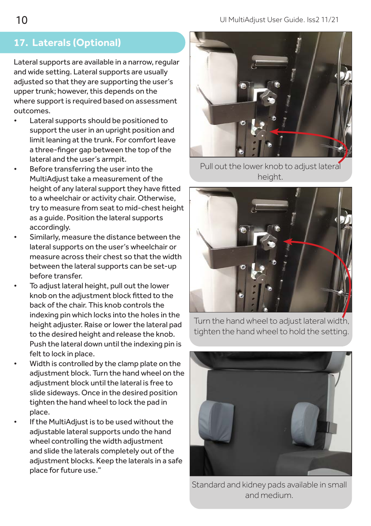# **17. Laterals (Optional)**

Lateral supports are available in a narrow, regular and wide setting. Lateral supports are usually adjusted so that they are supporting the user's upper trunk; however, this depends on the where support is required based on assessment outcomes.

- Lateral supports should be positioned to support the user in an upright position and limit leaning at the trunk. For comfort leave a three-finger gap between the top of the lateral and the user's armpit.
- Before transferring the user into the MultiAdjust take a measurement of the height of any lateral support they have fitted to a wheelchair or activity chair. Otherwise, try to measure from seat to mid-chest height as a guide. Position the lateral supports accordingly.
- Similarly, measure the distance between the lateral supports on the user's wheelchair or measure across their chest so that the width between the lateral supports can be set-up before transfer.
- To adjust lateral height, pull out the lower knob on the adjustment block fitted to the back of the chair. This knob controls the indexing pin which locks into the holes in the height adjuster. Raise or lower the lateral pad to the desired height and release the knob. Push the lateral down until the indexing pin is felt to lock in place.
- Width is controlled by the clamp plate on the adjustment block. Turn the hand wheel on the adjustment block until the lateral is free to slide sideways. Once in the desired position tighten the hand wheel to lock the pad in place.
- If the MultiAdjust is to be used without the adjustable lateral supports undo the hand wheel controlling the width adjustment and slide the laterals completely out of the adjustment blocks. Keep the laterals in a safe place for future use."



Pull out the lower knob to adjust lateral height.



Turn the hand wheel to adjust lateral width, tighten the hand wheel to hold the setting.



Standard and kidney pads available in small and medium.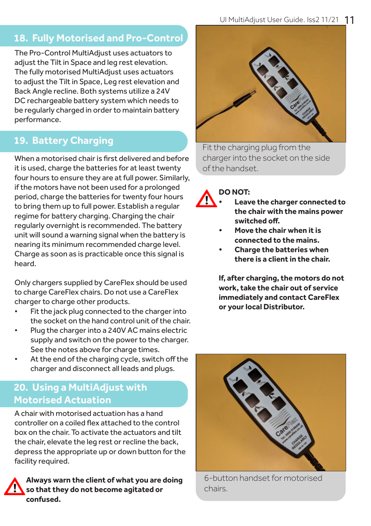# **18. Fully Motorised and Pro-Control**

The Pro-Control MultiAdjust uses actuators to adjust the Tilt in Space and leg rest elevation. The fully motorised MultiAdjust uses actuators to adjust the Tilt in Space, Leg rest elevation and Back Angle recline. Both systems utilize a 24V DC rechargeable battery system which needs to be regularly charged in order to maintain battery performance.

# **19. Battery Charging**

When a motorised chair is first delivered and before it is used, charge the batteries for at least twenty four hours to ensure they are at full power. Similarly, if the motors have not been used for a prolonged period, charge the batteries for twenty four hours to bring them up to full power. Establish a regular regime for battery charging. Charging the chair regularly overnight is recommended. The battery unit will sound a warning signal when the battery is nearing its minimum recommended charge level. Charge as soon as is practicable once this signal is heard.

Only chargers supplied by CareFlex should be used to charge CareFlex chairs. Do not use a CareFlex charger to charge other products.

- Fit the jack plug connected to the charger into the socket on the hand control unit of the chair.
- Plug the charger into a 240V AC mains electric supply and switch on the power to the charger. See the notes above for charge times.
- At the end of the charging cycle, switch off the charger and disconnect all leads and plugs.

## **20. Using a MultiAdjust with Motorised Actuation**

A chair with motorised actuation has a hand controller on a coiled flex attached to the control box on the chair. To activate the actuators and tilt the chair, elevate the leg rest or recline the back, depress the appropriate up or down button for the facility required.





Fit the charging plug from the charger into the socket on the side of the handset.

#### **DO NOT:**



- **• Leave the charger connected to the chair with the mains power switched off.**
- **• Move the chair when it is connected to the mains.**
- **• Charge the batteries when there is a client in the chair.**

**If, after charging, the motors do not work, take the chair out of service immediately and contact CareFlex or your local Distributor.**



6-button handset for motorised chairs.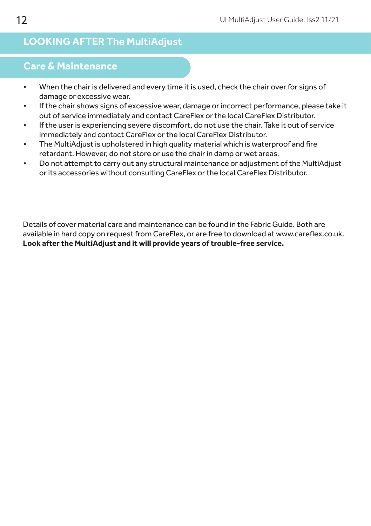## **LOOKING AFTER The MultiAdjust**

## **Care & Maintenance**

- When the chair is delivered and every time it is used, check the chair over for signs of damage or excessive wear.
- If the chair shows signs of excessive wear, damage or incorrect performance, please take it out of service immediately and contact CareFlex or the local CareFlex Distributor.
- If the user is experiencing severe discomfort, do not use the chair. Take it out of service immediately and contact CareFlex or the local CareFlex Distributor.
- The MultiAdjust is upholstered in high quality material which is waterproof and fire retardant. However, do not store or use the chair in damp or wet areas.
- Do not attempt to carry out any structural maintenance or adjustment of the MultiAdjust or its accessories without consulting CareFlex or the local CareFlex Distributor.

Details of cover material care and maintenance can be found in the Fabric Guide. Both are available in hard copy on request from CareFlex, or are free to download at www.careflex.co.uk. **Look after the MultiAdjust and it will provide years of trouble-free service.**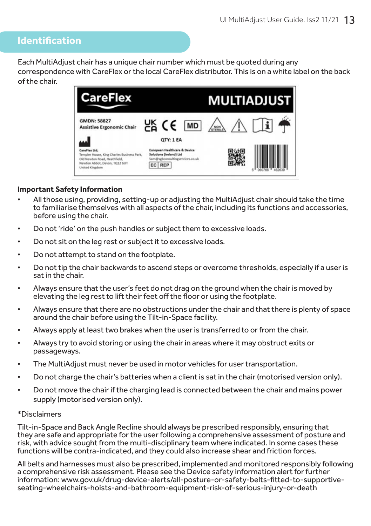### **Identification**

Each MultiAdjust chair has a unique chair number which must be quoted during any correspondence with CareFlex or the local CareFlex distributor. This is on a white label on the back of the chair.



#### **Important Safety Information**

- All those using, providing, setting-up or adjusting the MultiAdjust chair should take the time to familiarise themselves with all aspects of the chair, including its functions and accessories, before using the chair.
- Do not 'ride' on the push handles or subject them to excessive loads.
- Do not sit on the leg rest or subject it to excessive loads.
- Do not attempt to stand on the footplate.
- Do not tip the chair backwards to ascend steps or overcome thresholds, especially if a user is sat in the chair.
- Always ensure that the user's feet do not drag on the ground when the chair is moved by elevating the leg rest to lift their feet off the floor or using the footplate.
- Always ensure that there are no obstructions under the chair and that there is plenty of space around the chair before using the Tilt-in-Space facility.
- Always apply at least two brakes when the user is transferred to or from the chair.
- Always try to avoid storing or using the chair in areas where it may obstruct exits or passageways.
- The MultiAdjust must never be used in motor vehicles for user transportation.
- Do not charge the chair's batteries when a client is sat in the chair (motorised version only).
- Do not move the chair if the charging lead is connected between the chair and mains power supply (motorised version only).

#### \*Disclaimers

Tilt-in-Space and Back Angle Recline should always be prescribed responsibly, ensuring that they are safe and appropriate for the user following a comprehensive assessment of posture and risk, with advice sought from the multi-disciplinary team where indicated. In some cases these functions will be contra-indicated, and they could also increase shear and friction forces.

All belts and harnesses must also be prescribed, implemented and monitored responsibly following a comprehensive risk assessment. Please see the Device safety information alert for further information: www.gov.uk/drug-device-alerts/all-posture-or-safety-belts-fitted-to-supportiveseating-wheelchairs-hoists-and-bathroom-equipment-risk-of-serious-injury-or-death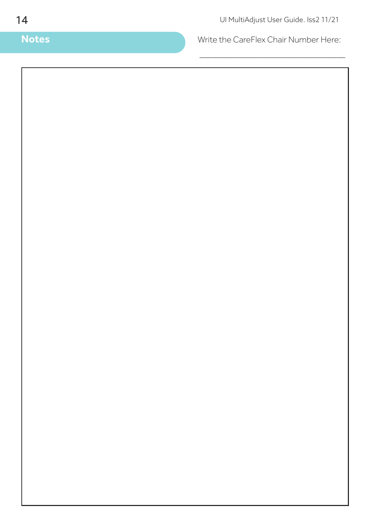**Notes** Write the CareFlex Chair Number Here:

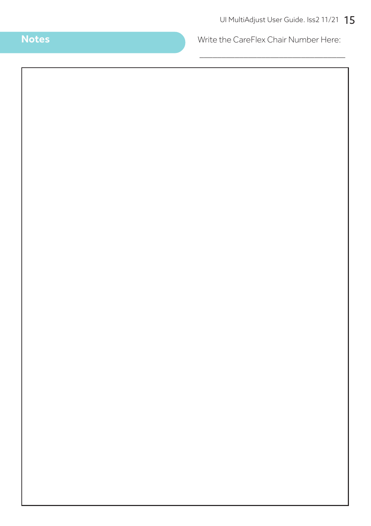**Notes** Write the CareFlex Chair Number Here:

\_\_\_\_\_\_\_\_\_\_\_\_\_\_\_\_\_\_\_\_\_\_\_\_\_\_\_\_\_\_\_\_\_